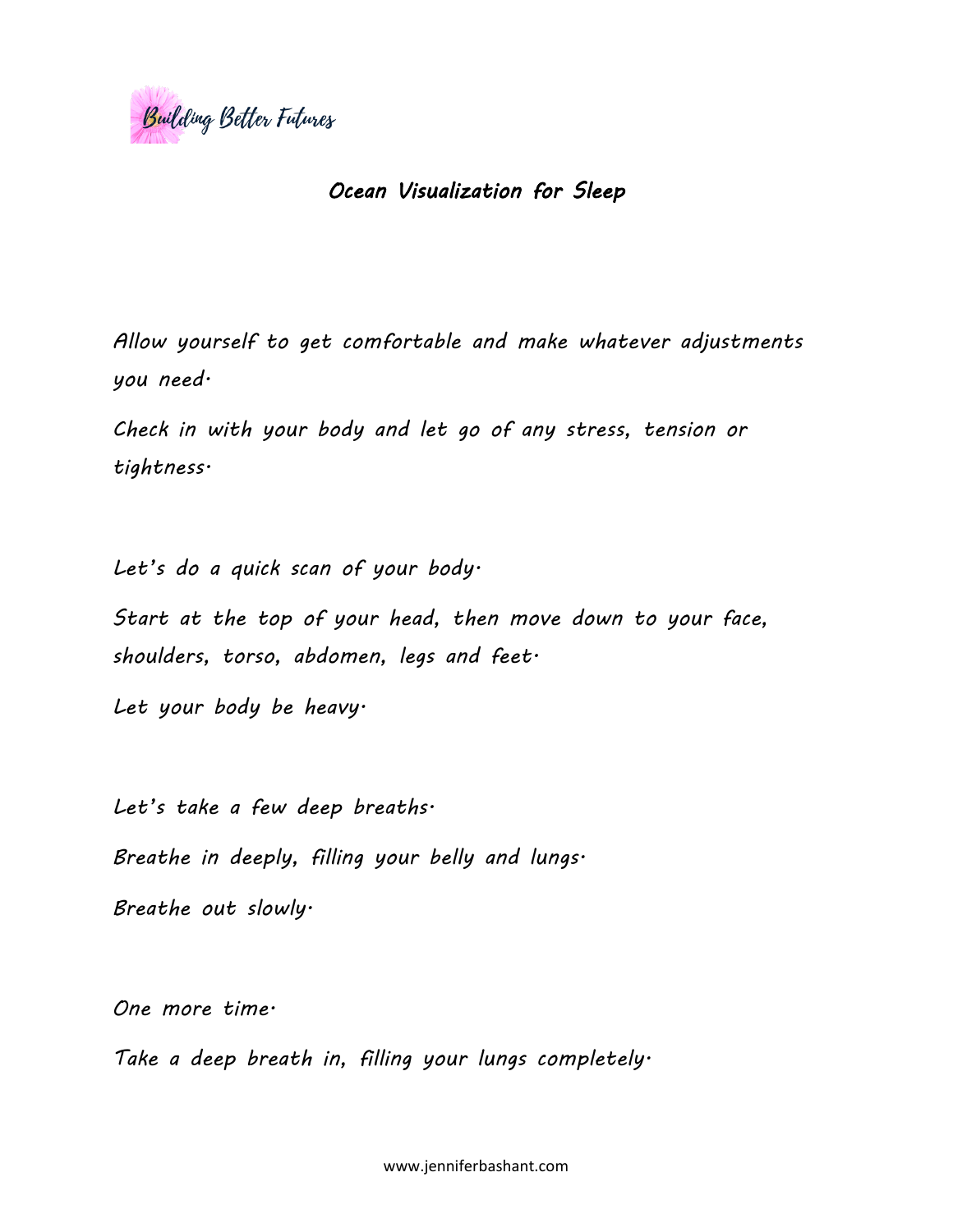

## *Ocean Visualization for Sleep*

*Allow yourself to get comfortable and make whatever adjustments you need.*

*Check in with your body and let go of any stress, tension or tightness.*

*Let's do a quick scan of your body.*

*Start at the top of your head, then move down to your face, shoulders, torso, abdomen, legs and feet.*

*Let your body be heavy.*

*Let's take a few deep breaths. Breathe in deeply, filling your belly and lungs. Breathe out slowly.*

*One more time.*

*Take a deep breath in, filling your lungs completely.*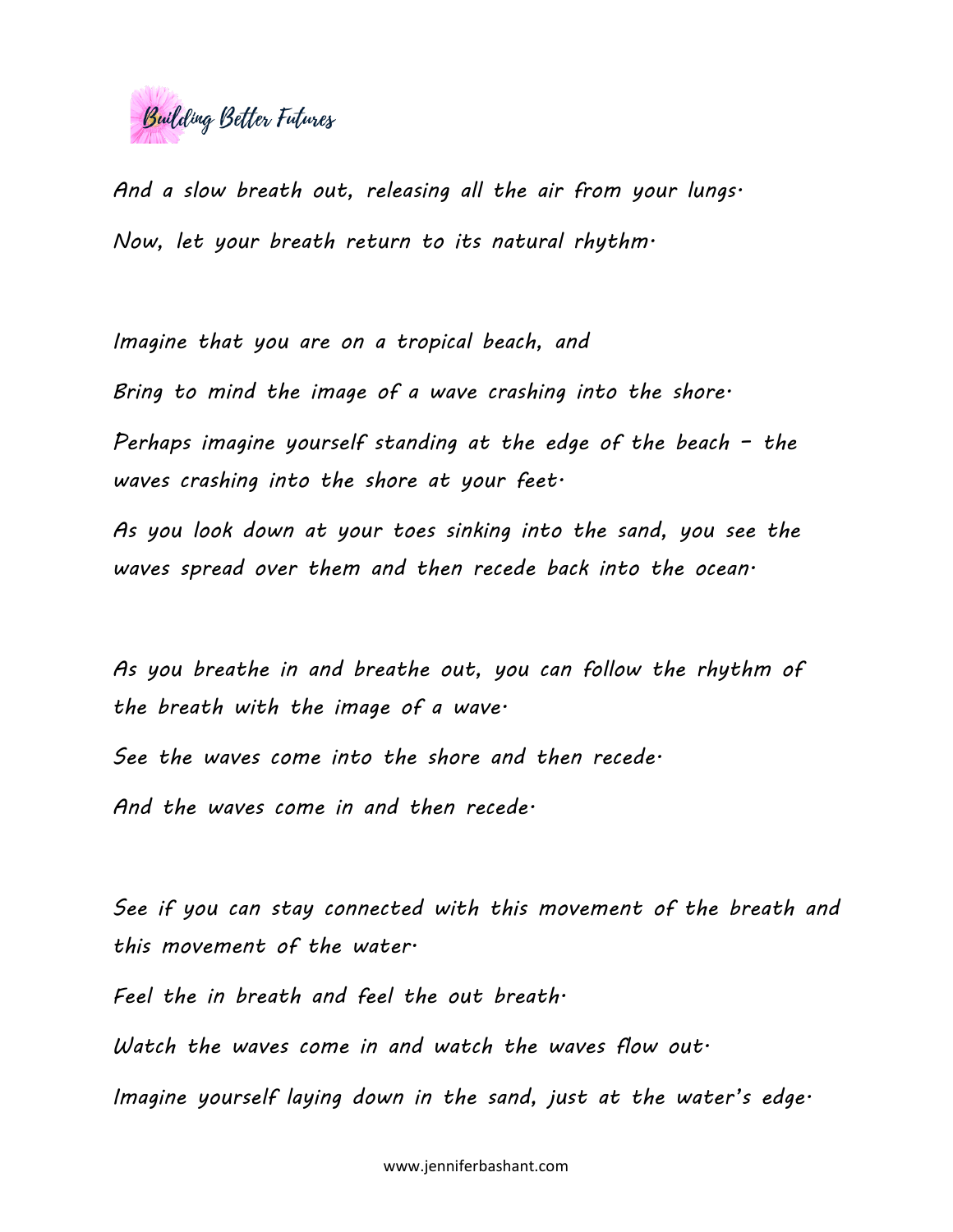

*And a slow breath out, releasing all the air from your lungs. Now, let your breath return to its natural rhythm.*

*Imagine that you are on a tropical beach, and Bring to mind the image of a wave crashing into the shore. Perhaps imagine yourself standing at the edge of the beach – the waves crashing into the shore at your feet.*

*As you look down at your toes sinking into the sand, you see the waves spread over them and then recede back into the ocean.*

*As you breathe in and breathe out, you can follow the rhythm of the breath with the image of a wave.*

*See the waves come into the shore and then recede.*

*And the waves come in and then recede.*

*See if you can stay connected with this movement of the breath and this movement of the water.*

*Feel the in breath and feel the out breath. Watch the waves come in and watch the waves flow out. Imagine yourself laying down in the sand, just at the water's edge.*